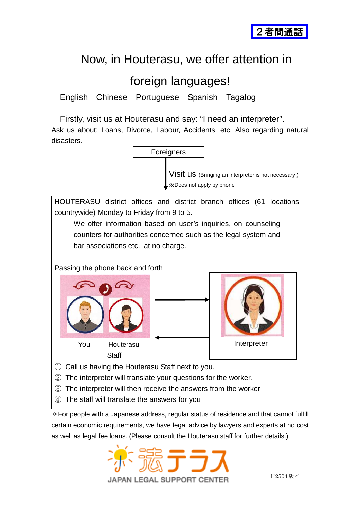

## Now, in Houterasu, we offer attention in

## foreign languages!

English Chinese Portuguese Spanish Tagalog

Firstly, visit us at Houterasu and say: "I need an interpreter".

Ask us about: Loans, Divorce, Labour, Accidents, etc. Also regarding natural disasters.



- ③ The interpreter will then receive the answers from the worker
- ④ The staff will translate the answers for you

\*For people with a Japanese address, regular status of residence and that cannot fulfill certain economic requirements, we have legal advice by lawyers and experts at no cost as well as legal fee loans. (Please consult the Houterasu staff for further details.)